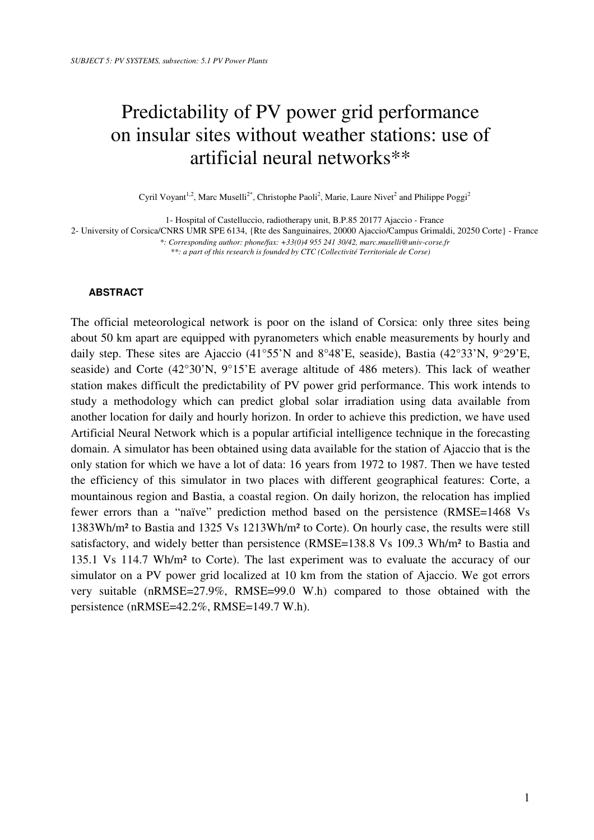# Predictability of PV power grid performance on insular sites without weather stations: use of artificial neural networks\*\*

Cyril Voyant<sup>1,2</sup>, Marc Muselli<sup>2\*</sup>, Christophe Paoli<sup>2</sup>, Marie, Laure Nivet<sup>2</sup> and Philippe Poggi<sup>2</sup>

1- Hospital of Castelluccio, radiotherapy unit, B.P.85 20177 Ajaccio - France

2- University of Corsica/CNRS UMR SPE 6134, {Rte des Sanguinaires, 20000 Ajaccio/Campus Grimaldi, 20250 Corte} - France

*\*: Corresponding author: phone/fax: +33(0)4 955 241 30/42, marc.muselli@univ-corse.fr \*\*: a part of this research is founded by CTC (Collectivité Territoriale de Corse)* 

# **ABSTRACT**

The official meteorological network is poor on the island of Corsica: only three sites being about 50 km apart are equipped with pyranometers which enable measurements by hourly and daily step. These sites are Ajaccio (41°55'N and 8°48'E, seaside), Bastia (42°33'N, 9°29'E, seaside) and Corte (42°30'N, 9°15'E average altitude of 486 meters). This lack of weather station makes difficult the predictability of PV power grid performance. This work intends to study a methodology which can predict global solar irradiation using data available from another location for daily and hourly horizon. In order to achieve this prediction, we have used Artificial Neural Network which is a popular artificial intelligence technique in the forecasting domain. A simulator has been obtained using data available for the station of Ajaccio that is the only station for which we have a lot of data: 16 years from 1972 to 1987. Then we have tested the efficiency of this simulator in two places with different geographical features: Corte, a mountainous region and Bastia, a coastal region. On daily horizon, the relocation has implied fewer errors than a "naïve" prediction method based on the persistence (RMSE=1468 Vs 1383Wh/m² to Bastia and 1325 Vs 1213Wh/m² to Corte). On hourly case, the results were still satisfactory, and widely better than persistence (RMSE=138.8 Vs 109.3 Wh/m² to Bastia and 135.1 Vs 114.7 Wh/m² to Corte). The last experiment was to evaluate the accuracy of our simulator on a PV power grid localized at 10 km from the station of Ajaccio. We got errors very suitable (nRMSE=27.9%, RMSE=99.0 W.h) compared to those obtained with the persistence (nRMSE=42.2%, RMSE=149.7 W.h).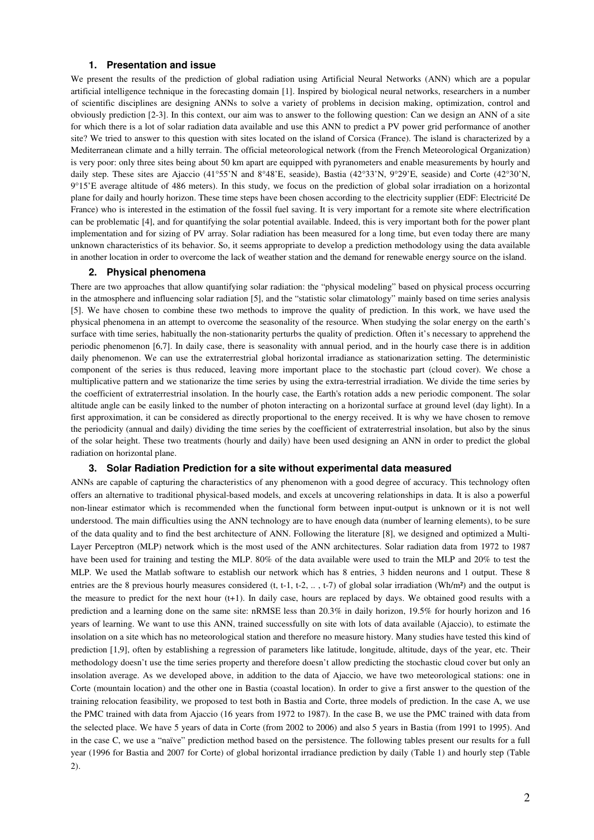# **1. Presentation and issue**

We present the results of the prediction of global radiation using Artificial Neural Networks (ANN) which are a popular artificial intelligence technique in the forecasting domain [1]. Inspired by biological neural networks, researchers in a number of scientific disciplines are designing ANNs to solve a variety of problems in decision making, optimization, control and obviously prediction [2-3]. In this context, our aim was to answer to the following question: Can we design an ANN of a site for which there is a lot of solar radiation data available and use this ANN to predict a PV power grid performance of another site? We tried to answer to this question with sites located on the island of Corsica (France). The island is characterized by a Mediterranean climate and a hilly terrain. The official meteorological network (from the French Meteorological Organization) is very poor: only three sites being about 50 km apart are equipped with pyranometers and enable measurements by hourly and daily step. These sites are Ajaccio (41°55'N and 8°48'E, seaside), Bastia (42°33'N, 9°29'E, seaside) and Corte (42°30'N, 9°15'E average altitude of 486 meters). In this study, we focus on the prediction of global solar irradiation on a horizontal plane for daily and hourly horizon. These time steps have been chosen according to the electricity supplier (EDF: Electricité De France) who is interested in the estimation of the fossil fuel saving. It is very important for a remote site where electrification can be problematic [4], and for quantifying the solar potential available. Indeed, this is very important both for the power plant implementation and for sizing of PV array. Solar radiation has been measured for a long time, but even today there are many unknown characteristics of its behavior. So, it seems appropriate to develop a prediction methodology using the data available in another location in order to overcome the lack of weather station and the demand for renewable energy source on the island.

## **2. Physical phenomena**

There are two approaches that allow quantifying solar radiation: the "physical modeling" based on physical process occurring in the atmosphere and influencing solar radiation [5], and the "statistic solar climatology" mainly based on time series analysis [5]. We have chosen to combine these two methods to improve the quality of prediction. In this work, we have used the physical phenomena in an attempt to overcome the seasonality of the resource. When studying the solar energy on the earth's surface with time series, habitually the non-stationarity perturbs the quality of prediction. Often it's necessary to apprehend the periodic phenomenon [6,7]. In daily case, there is seasonality with annual period, and in the hourly case there is in addition daily phenomenon. We can use the extraterrestrial global horizontal irradiance as stationarization setting. The deterministic component of the series is thus reduced, leaving more important place to the stochastic part (cloud cover). We chose a multiplicative pattern and we stationarize the time series by using the extra-terrestrial irradiation. We divide the time series by the coefficient of extraterrestrial insolation. In the hourly case, the Earth's rotation adds a new periodic component. The solar altitude angle can be easily linked to the number of photon interacting on a horizontal surface at ground level (day light). In a first approximation, it can be considered as directly proportional to the energy received. It is why we have chosen to remove the periodicity (annual and daily) dividing the time series by the coefficient of extraterrestrial insolation, but also by the sinus of the solar height. These two treatments (hourly and daily) have been used designing an ANN in order to predict the global radiation on horizontal plane.

#### **3. Solar Radiation Prediction for a site without experimental data measured**

ANNs are capable of capturing the characteristics of any phenomenon with a good degree of accuracy. This technology often offers an alternative to traditional physical-based models, and excels at uncovering relationships in data. It is also a powerful non-linear estimator which is recommended when the functional form between input-output is unknown or it is not well understood. The main difficulties using the ANN technology are to have enough data (number of learning elements), to be sure of the data quality and to find the best architecture of ANN. Following the literature [8], we designed and optimized a Multi-Layer Perceptron (MLP) network which is the most used of the ANN architectures. Solar radiation data from 1972 to 1987 have been used for training and testing the MLP. 80% of the data available were used to train the MLP and 20% to test the MLP. We used the Matlab software to establish our network which has 8 entries, 3 hidden neurons and 1 output. These 8 entries are the 8 previous hourly measures considered (t, t-1, t-2,  $\dots$ , t-7) of global solar irradiation (Wh/m²) and the output is the measure to predict for the next hour (t+1). In daily case, hours are replaced by days. We obtained good results with a prediction and a learning done on the same site: nRMSE less than 20.3% in daily horizon, 19.5% for hourly horizon and 16 years of learning. We want to use this ANN, trained successfully on site with lots of data available (Ajaccio), to estimate the insolation on a site which has no meteorological station and therefore no measure history. Many studies have tested this kind of prediction [1,9], often by establishing a regression of parameters like latitude, longitude, altitude, days of the year, etc. Their methodology doesn't use the time series property and therefore doesn't allow predicting the stochastic cloud cover but only an insolation average. As we developed above, in addition to the data of Ajaccio, we have two meteorological stations: one in Corte (mountain location) and the other one in Bastia (coastal location). In order to give a first answer to the question of the training relocation feasibility, we proposed to test both in Bastia and Corte, three models of prediction. In the case A, we use the PMC trained with data from Ajaccio (16 years from 1972 to 1987). In the case B, we use the PMC trained with data from the selected place. We have 5 years of data in Corte (from 2002 to 2006) and also 5 years in Bastia (from 1991 to 1995). And in the case C, we use a "naïve" prediction method based on the persistence. The following tables present our results for a full year (1996 for Bastia and 2007 for Corte) of global horizontal irradiance prediction by daily (Table 1) and hourly step (Table 2).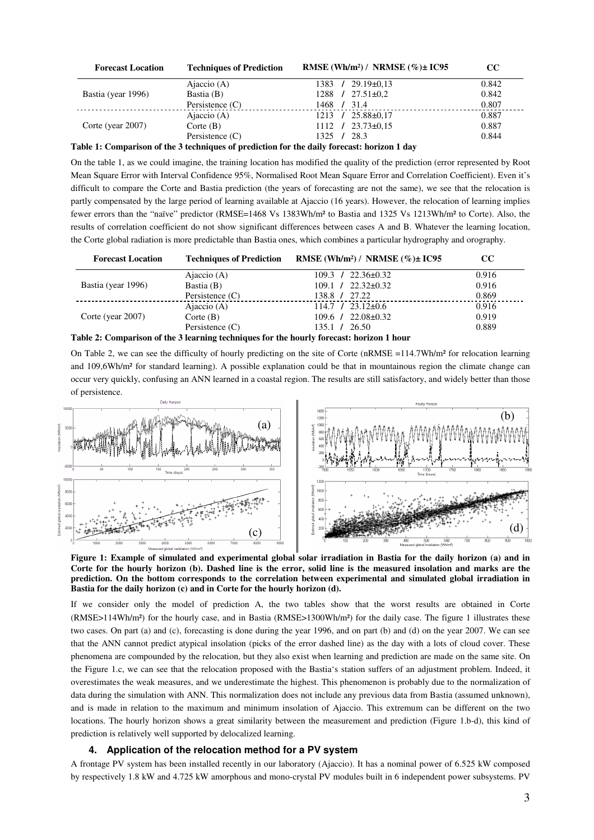| <b>Forecast Location</b> | <b>Techniques of Prediction</b> | RMSE (Wh/m <sup>2</sup> ) / NRMSE (%) $\pm$ IC95 | $\bf CC$ |
|--------------------------|---------------------------------|--------------------------------------------------|----------|
| Bastia (year 1996)       | Ajaccio $(A)$                   | $29.19\pm0.13$<br>1383 /                         | 0.842    |
|                          | Bastia (B)                      | $27.51 \pm 0.2$<br>1288 /                        | 0.842    |
|                          | Persistence $(C)$               | 1468 / 31.4                                      | 0.807    |
| Corte (year 2007)        | Ajaccio $(A)$                   | $25.88 \pm 0.17$<br>$1213 \t/$                   | 0.887    |
|                          | $\text{Corte}$ (B)              | $1112 \quad / \quad 23.73 \pm 0.15$              | 0.887    |
|                          | Persistence $(C)$               | 28.3<br>$1325 \t/$                               | 0.844    |

## **Table 1: Comparison of the 3 techniques of prediction for the daily forecast: horizon 1 day**

On the table 1, as we could imagine, the training location has modified the quality of the prediction (error represented by Root Mean Square Error with Interval Confidence 95%, Normalised Root Mean Square Error and Correlation Coefficient). Even it's difficult to compare the Corte and Bastia prediction (the years of forecasting are not the same), we see that the relocation is partly compensated by the large period of learning available at Ajaccio (16 years). However, the relocation of learning implies fewer errors than the "naïve" predictor (RMSE=1468 Vs 1383Wh/m² to Bastia and 1325 Vs 1213Wh/m² to Corte). Also, the results of correlation coefficient do not show significant differences between cases A and B. Whatever the learning location, the Corte global radiation is more predictable than Bastia ones, which combines a particular hydrography and orography.

| <b>Forecast Location</b>                                                                 | <b>Techniques of Prediction</b> | RMSE (Wh/m <sup>2</sup> ) / NRMSE (%) $\pm$ IC95 | $_{\rm CC}$ |  |
|------------------------------------------------------------------------------------------|---------------------------------|--------------------------------------------------|-------------|--|
| Bastia (year 1996)                                                                       | Ajaccio $(A)$                   | $109.3$ / $22.36\pm0.32$                         | 0.916       |  |
|                                                                                          | Bastia (B)                      | $109.1 / 22.32 \pm 0.32$                         | 0.916       |  |
|                                                                                          | Persistence $(C)$               | 138.8 / 27.22                                    | 0.869       |  |
| Corte (year 2007)                                                                        | Ajaccio $(A)$                   | $114.7$ / $23.12\pm0.6$                          | 0.916       |  |
|                                                                                          | Corte $(B)$                     | $109.6$ / $22.08 \pm 0.32$                       | 0.919       |  |
|                                                                                          | Persistence $(C)$               | $135.1 \quad 26.50$                              | 0.889       |  |
| Table 2: Comparison of the 3 learning techniques for the hourly forecast: horizon 1 hour |                                 |                                                  |             |  |

On Table 2, we can see the difficulty of hourly predicting on the site of Corte ( $nRMSE = 114.7Wh/m<sup>2</sup>$  for relocation learning and 109,6Wh/m² for standard learning). A possible explanation could be that in mountainous region the climate change can occur very quickly, confusing an ANN learned in a coastal region. The results are still satisfactory, and widely better than those of persistence.



**Figure 1: Example of simulated and experimental global solar irradiation in Bastia for the daily horizon (a) and in Corte for the hourly horizon (b). Dashed line is the error, solid line is the measured insolation and marks are the prediction. On the bottom corresponds to the correlation between experimental and simulated global irradiation in Bastia for the daily horizon (c) and in Corte for the hourly horizon (d).** 

If we consider only the model of prediction A, the two tables show that the worst results are obtained in Corte (RMSE>114Wh/m²) for the hourly case, and in Bastia (RMSE>1300Wh/m²) for the daily case. The figure 1 illustrates these two cases. On part (a) and (c), forecasting is done during the year 1996, and on part (b) and (d) on the year 2007. We can see that the ANN cannot predict atypical insolation (picks of the error dashed line) as the day with a lots of cloud cover. These phenomena are compounded by the relocation, but they also exist when learning and prediction are made on the same site. On the Figure 1.c, we can see that the relocation proposed with the Bastia's station suffers of an adjustment problem. Indeed, it overestimates the weak measures, and we underestimate the highest. This phenomenon is probably due to the normalization of data during the simulation with ANN. This normalization does not include any previous data from Bastia (assumed unknown), and is made in relation to the maximum and minimum insolation of Ajaccio. This extremum can be different on the two locations. The hourly horizon shows a great similarity between the measurement and prediction (Figure 1.b-d), this kind of prediction is relatively well supported by delocalized learning.

#### **4. Application of the relocation method for a PV system**

A frontage PV system has been installed recently in our laboratory (Ajaccio). It has a nominal power of 6.525 kW composed by respectively 1.8 kW and 4.725 kW amorphous and mono-crystal PV modules built in 6 independent power subsystems. PV